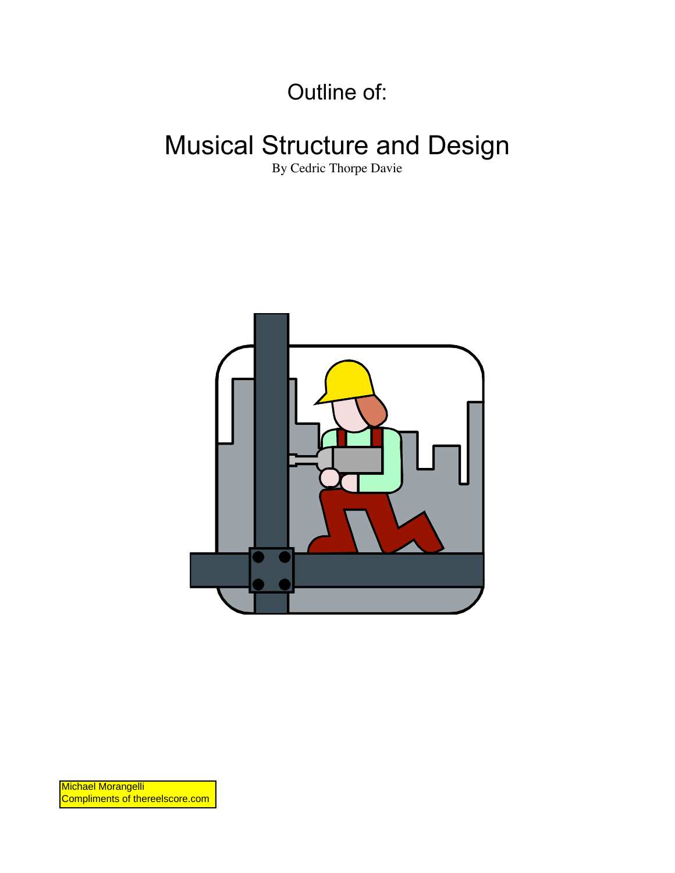# Outline of:

# Musical Structure and Design

By Cedric Thorpe Davie



Michael Morangelli Compliments of thereelscore.com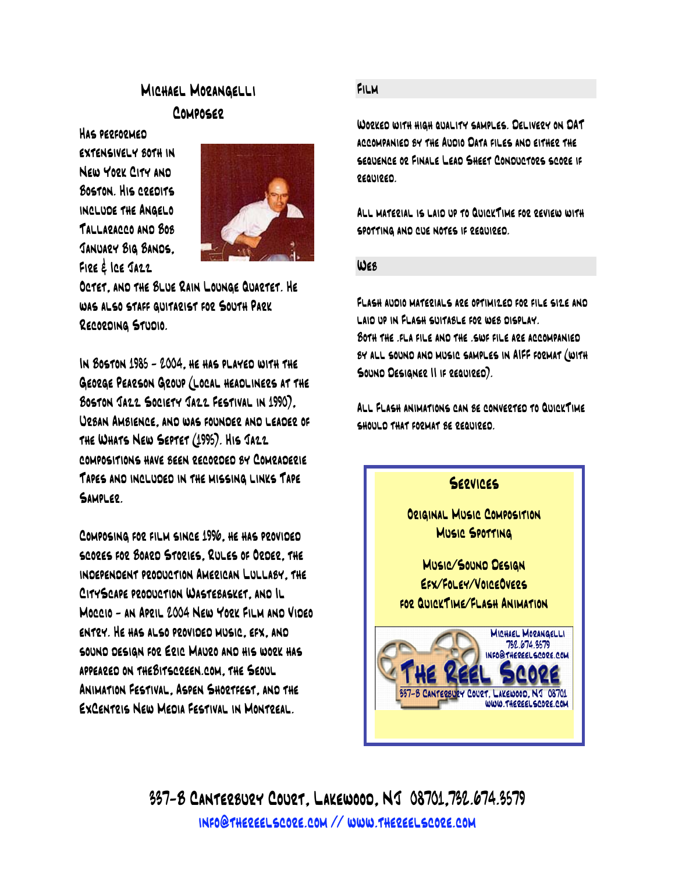## Michael Morangelli Composer

Has performed extensively both in New York City and Boston. His credits include the Angelo Tallaracco and Bob January Big Bands, Fire & Ice Jazz



Octet, and the Blue Rain Lounge Quartet. He was also staff guitarist for South Park Recording Studio.

In Boston 1985 - 2004, he has played with the George Pearson Group (local headliners at the Boston Jazz Society Jazz Festival in 1990), Urban Ambience, and was founder and leader of the Whats New Septet (1995). His Jazz compositions have been recorded by Comraderie Tapes and included in the missing links Tape Sampler.

Composing for film since 1996, he has provided scores for Board Stories, Rules of Order, the independent production American Lullaby, the CityScape production Wastebasket, and Il Moccio - an April 2004 New York Film and Video entry. He has also provided music, efx, and sound design for Eric Mauro and his work has appeared on theBitscreen.com, the Seoul Animation Festival, Aspen Shortfest, and the ExCentris New Media Festival in Montreal.

#### Film

Worked with high quality samples. Delivery on DAT accompanied by the Audio Data files and either the sequence or Finale Lead Sheet Conductors score if required.

All material is laid up to QuickTime for review with spotting and cue notes if required.

#### WEB

Flash audio materials are optimized for file size and laid up in Flash suitable for web display. Both the .fla file and the .swf file are accompanied by all sound and music samples in AIFF format (with Sound Designer II if required).

All Flash animations can be converted to QuickTime should that format be required.



337-B Canterbury Court, Lakewood, NJ 08701,732.674.3579 info@thereelscore.com // www.thereelscore.com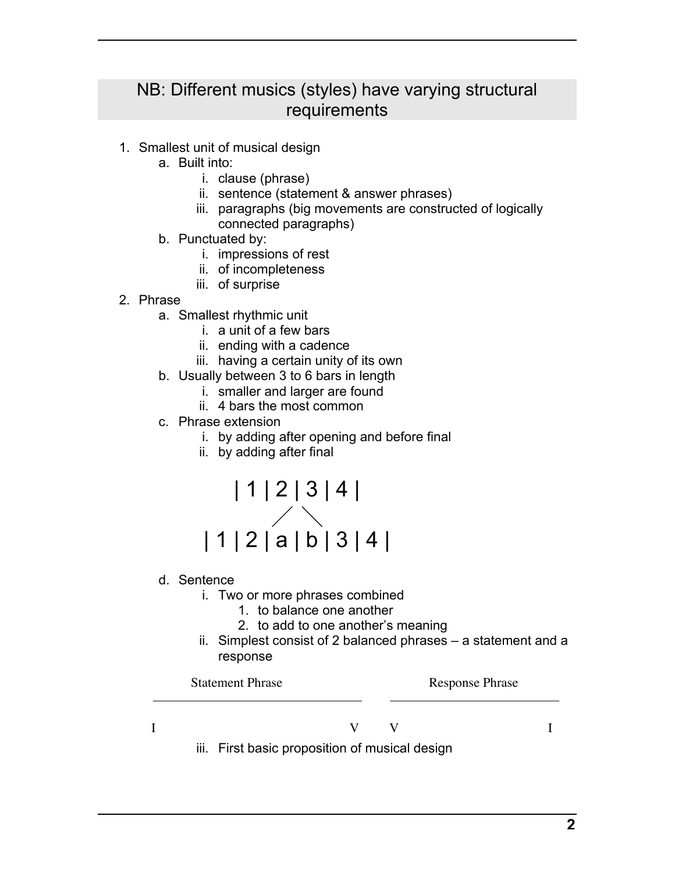## NB: Different musics (styles) have varying structural requirements

- 1. Smallest unit of musical design
	- a. Built into:
		- i. clause (phrase)
		- ii. sentence (statement & answer phrases)
		- iii. paragraphs (big movements are constructed of logically connected paragraphs)
	- b. Punctuated by:
		- i. impressions of rest
		- ii. of incompleteness
		- iii. of surprise
- 2. Phrase
	- a. Smallest rhythmic unit
		- i. a unit of a few bars
		- ii. ending with a cadence
		- iii. having a certain unity of its own
	- b. Usually between 3 to 6 bars in length
		- i. smaller and larger are found
		- ii. 4 bars the most common
	- c. Phrase extension
		- i. by adding after opening and before final
		- ii. by adding after final



- d. Sentence
	- i. Two or more phrases combined
		- 1. to balance one another
		- 2. to add to one another's meaning
	- ii. Simplest consist of 2 balanced phrases a statement and a response

| <b>Statement Phrase</b> |  |  | <b>Response Phrase</b> |  |  |
|-------------------------|--|--|------------------------|--|--|
|                         |  |  |                        |  |  |

iii. First basic proposition of musical design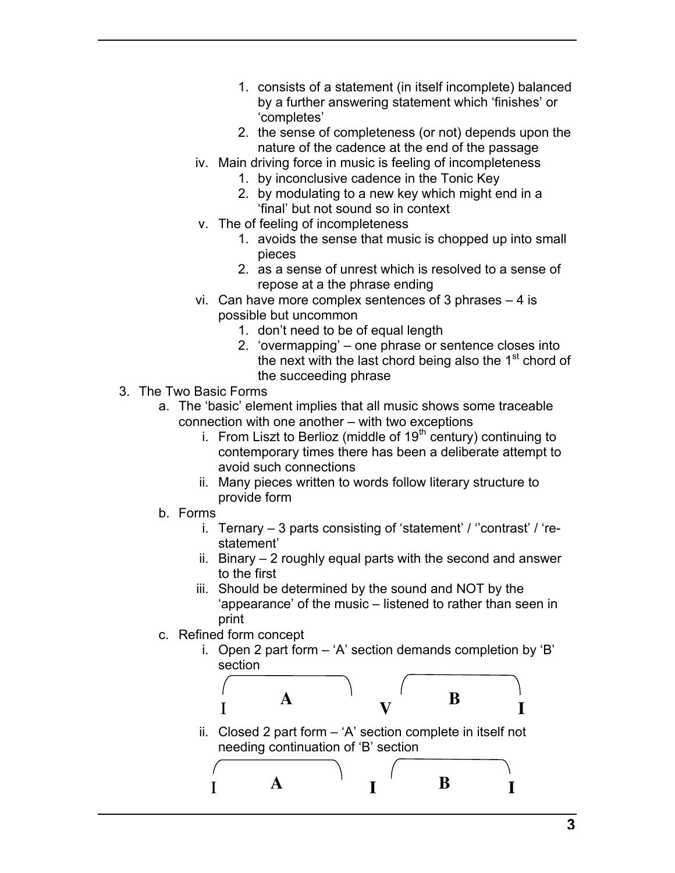- 1. consists of a statement (in itself incomplete) balanced by a further answering statement which 'finishes' or 'completes'
- 2. the sense of completeness (or not) depends upon the nature of the cadence at the end of the passage
- iv. Main driving force in music is feeling of incompleteness
	- 1. by inconclusive cadence in the Tonic Key
	- 2. by modulating to a new key which might end in a 'final' but not sound so in context
- v. The of feeling of incompleteness
	- 1. avoids the sense that music is chopped up into small pieces
	- 2. as a sense of unrest which is resolved to a sense of repose at a the phrase ending
- vi. Can have more complex sentences of 3 phrases 4 is possible but uncommon
	- 1. don't need to be of equal length
	- 2. 'overmapping' one phrase or sentence closes into the next with the last chord being also the  $1<sup>st</sup>$  chord of the succeeding phrase
- 3. The Two Basic Forms
	- a. The 'basic' element implies that all music shows some traceable connection with one another – with two exceptions
		- i. From Liszt to Berlioz (middle of  $19<sup>th</sup>$  century) continuing to contemporary times there has been a deliberate attempt to avoid such connections
		- ii. Many pieces written to words follow literary structure to provide form
	- b. Forms
		- i. Ternary 3 parts consisting of 'statement' / ''contrast' / 'restatement'
		- ii. Binary 2 roughly equal parts with the second and answer to the first
		- iii. Should be determined by the sound and NOT by the 'appearance' of the music – listened to rather than seen in print
	- c. Refined form concept
		- i. Open 2 part form 'A' section demands completion by 'B' section



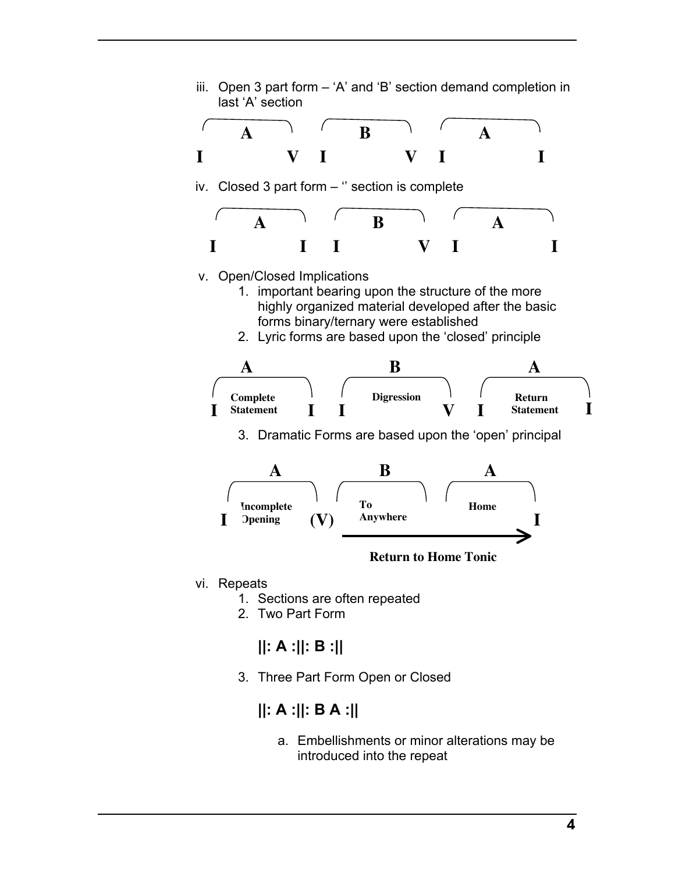

## **||: A :||: B :||**

3. Three Part Form Open or Closed

## **||: A :||: B A :||**

a. Embellishments or minor alterations may be introduced into the repeat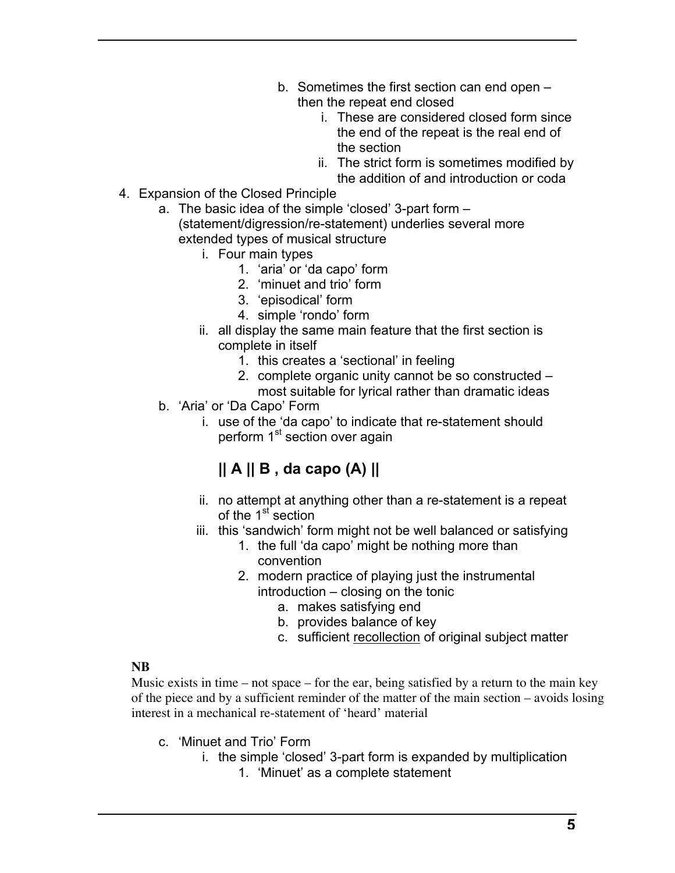- b. Sometimes the first section can end open then the repeat end closed
	- i. These are considered closed form since the end of the repeat is the real end of the section
	- ii. The strict form is sometimes modified by the addition of and introduction or coda
- 4. Expansion of the Closed Principle
	- a. The basic idea of the simple 'closed' 3-part form (statement/digression/re-statement) underlies several more extended types of musical structure
		- i. Four main types
			- 1. 'aria' or 'da capo' form
			- 2. 'minuet and trio' form
			- 3. 'episodical' form
			- 4. simple 'rondo' form
		- ii. all display the same main feature that the first section is complete in itself
			- 1. this creates a 'sectional' in feeling
			- 2. complete organic unity cannot be so constructed most suitable for lyrical rather than dramatic ideas
	- b. 'Aria' or 'Da Capo' Form
		- i. use of the 'da capo' to indicate that re-statement should perform 1<sup>st</sup> section over again

# **|| A || B , da capo (A) ||**

- ii. no attempt at anything other than a re-statement is a repeat of the 1<sup>st</sup> section
- iii. this 'sandwich' form might not be well balanced or satisfying
	- 1. the full 'da capo' might be nothing more than convention
	- 2. modern practice of playing just the instrumental introduction – closing on the tonic
		- a. makes satisfying end
		- b. provides balance of key
		- c. sufficient recollection of original subject matter

#### **NB**

Music exists in time – not space – for the ear, being satisfied by a return to the main key of the piece and by a sufficient reminder of the matter of the main section – avoids losing interest in a mechanical re-statement of 'heard' material

- c. 'Minuet and Trio' Form
	- i. the simple 'closed' 3-part form is expanded by multiplication
		- 1. 'Minuet' as a complete statement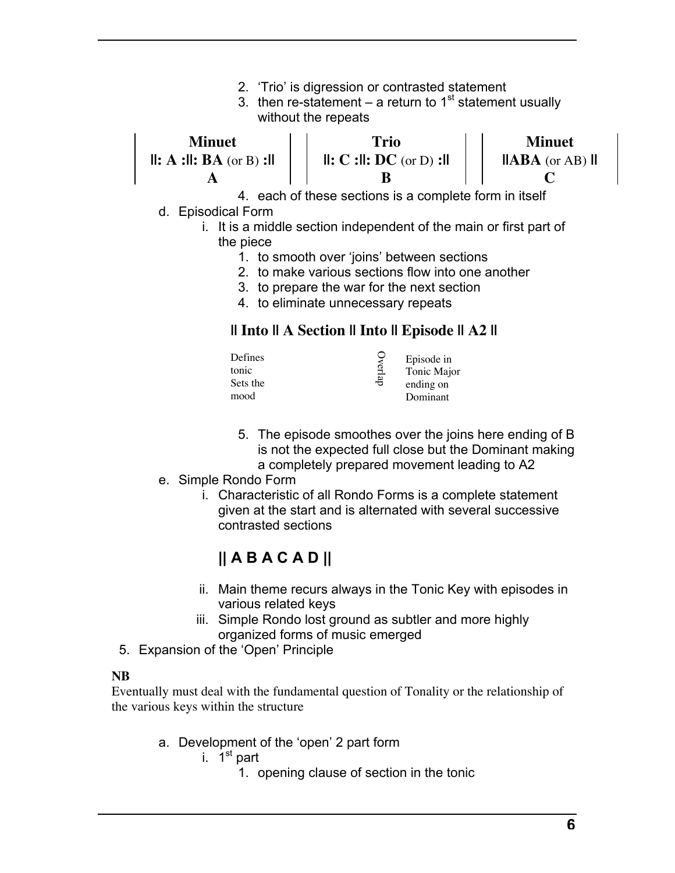- 2. 'Trio' is digression or contrasted statement
- 3. then re-statement a return to  $1<sup>st</sup>$  statement usually without the repeats



- d. Episodical Form
	- i. It is a middle section independent of the main or first part of the piece
		- 1. to smooth over 'joins' between sections
		- 2. to make various sections flow into one another
		- 3. to prepare the war for the next section
		- 4. to eliminate unnecessary repeats

### **|| Into || A Section || Into || Episode || A2 ||**

| Episode in<br>Tonic Major<br>ending on<br>Dominant |
|----------------------------------------------------|
|                                                    |
|                                                    |

- 5. The episode smoothes over the joins here ending of B is not the expected full close but the Dominant making a completely prepared movement leading to A2
- e. Simple Rondo Form
	- i. Characteristic of all Rondo Forms is a complete statement given at the start and is alternated with several successive contrasted sections

# **|| A B A C A D ||**

- ii. Main theme recurs always in the Tonic Key with episodes in various related keys
- iii. Simple Rondo lost ground as subtler and more highly organized forms of music emerged
- 5. Expansion of the 'Open' Principle

#### **NB**

Eventually must deal with the fundamental question of Tonality or the relationship of the various keys within the structure

- a. Development of the 'open' 2 part form
	- i.  $1^{st}$  part
		- 1. opening clause of section in the tonic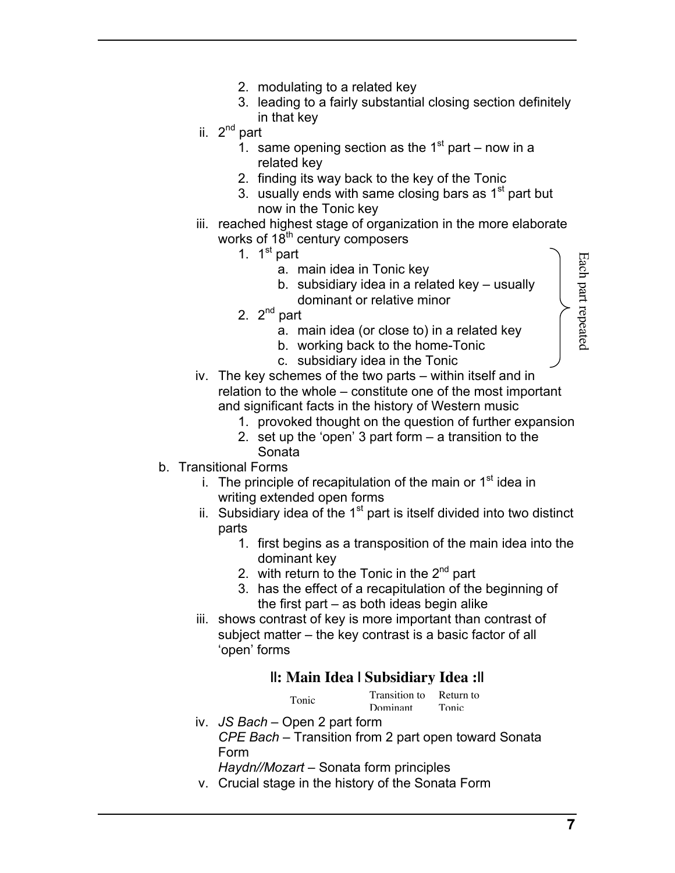- 2. modulating to a related key
- 3. leading to a fairly substantial closing section definitely in that key
- ii.  $2^{nd}$  part
	- 1. same opening section as the  $1<sup>st</sup>$  part now in a related key
	- 2. finding its way back to the key of the Tonic
	- 3. usually ends with same closing bars as  $1<sup>st</sup>$  part but now in the Tonic key
- iii. reached highest stage of organization in the more elaborate works of  $18^{th}$  century composers
	- 1.  $1^{\text{st}}$  part
		- a. main idea in Tonic key
		- b. subsidiary idea in a related key usually dominant or relative minor
	- 2.  $2^{nd}$  part
		- a. main idea (or close to) in a related key
		- b. working back to the home-Tonic
		- c. subsidiary idea in the Tonic
- iv. The key schemes of the two parts within itself and in relation to the whole – constitute one of the most important and significant facts in the history of Western music
	- 1. provoked thought on the question of further expansion
	- 2. set up the 'open' 3 part form a transition to the Sonata
- b. Transitional Forms
	- i. The principle of recapitulation of the main or  $1<sup>st</sup>$  idea in writing extended open forms
	- ii. Subsidiary idea of the  $1<sup>st</sup>$  part is itself divided into two distinct parts
		- 1. first begins as a transposition of the main idea into the dominant key
		- 2. with return to the Tonic in the  $2<sup>nd</sup>$  part
		- 3. has the effect of a recapitulation of the beginning of the first part – as both ideas begin alike
	- iii. shows contrast of key is more important than contrast of subject matter – the key contrast is a basic factor of all 'open' forms

### **||: Main Idea | Subsidiary Idea :||**

| Tonic | Transition to Return to |       |
|-------|-------------------------|-------|
|       | Dominant                | Tonic |

- iv. *JS Bach* Open 2 part form
	- *CPE Bach* Transition from 2 part open toward Sonata Form

*Haydn//Mozart* – Sonata form principles

v. Crucial stage in the history of the Sonata Form

∃ach part repeated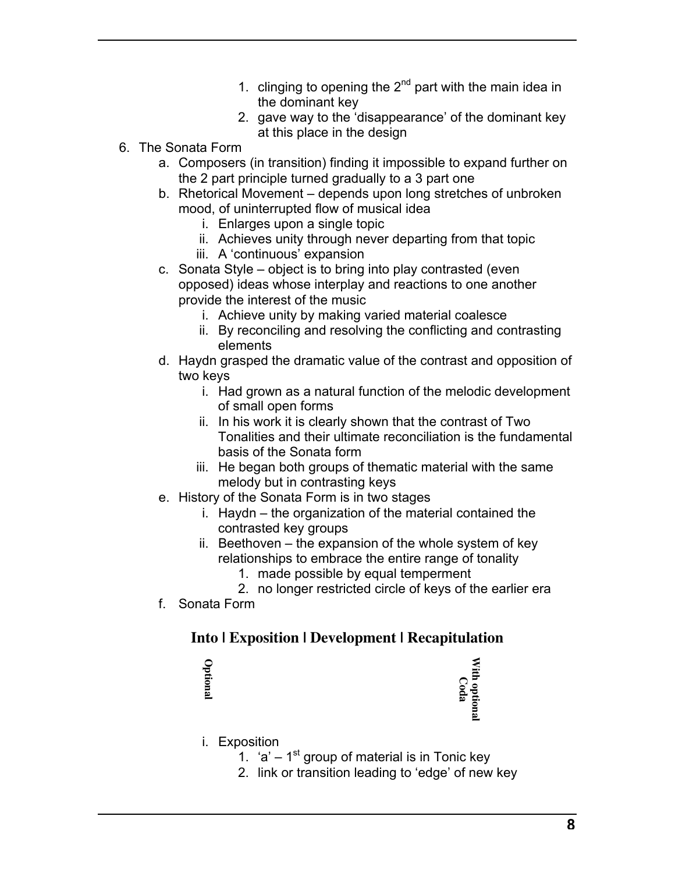- 1. clinging to opening the  $2^{nd}$  part with the main idea in the dominant key
- 2. gave way to the 'disappearance' of the dominant key at this place in the design
- 6. The Sonata Form
	- a. Composers (in transition) finding it impossible to expand further on the 2 part principle turned gradually to a 3 part one
	- b. Rhetorical Movement depends upon long stretches of unbroken mood, of uninterrupted flow of musical idea
		- i. Enlarges upon a single topic
		- ii. Achieves unity through never departing from that topic
		- iii. A 'continuous' expansion
	- c. Sonata Style object is to bring into play contrasted (even opposed) ideas whose interplay and reactions to one another provide the interest of the music
		- i. Achieve unity by making varied material coalesce
		- ii. By reconciling and resolving the conflicting and contrasting elements
	- d. Haydn grasped the dramatic value of the contrast and opposition of two keys
		- i. Had grown as a natural function of the melodic development of small open forms
		- ii. In his work it is clearly shown that the contrast of Two Tonalities and their ultimate reconciliation is the fundamental basis of the Sonata form
		- iii. He began both groups of thematic material with the same melody but in contrasting keys
	- e. History of the Sonata Form is in two stages
		- i. Haydn the organization of the material contained the contrasted key groups
		- ii. Beethoven the expansion of the whole system of key relationships to embrace the entire range of tonality
			- 1. made possible by equal temperment
			- 2. no longer restricted circle of keys of the earlier era
	- f. Sonata Form

## **Into | Exposition | Development | Recapitulation**

| ⊂       | Vith             |
|---------|------------------|
| ptional | optional<br>Coda |

#### i. Exposition

- 1.  $a^2 1$ <sup>st</sup> group of material is in Tonic key
- 2. link or transition leading to 'edge' of new key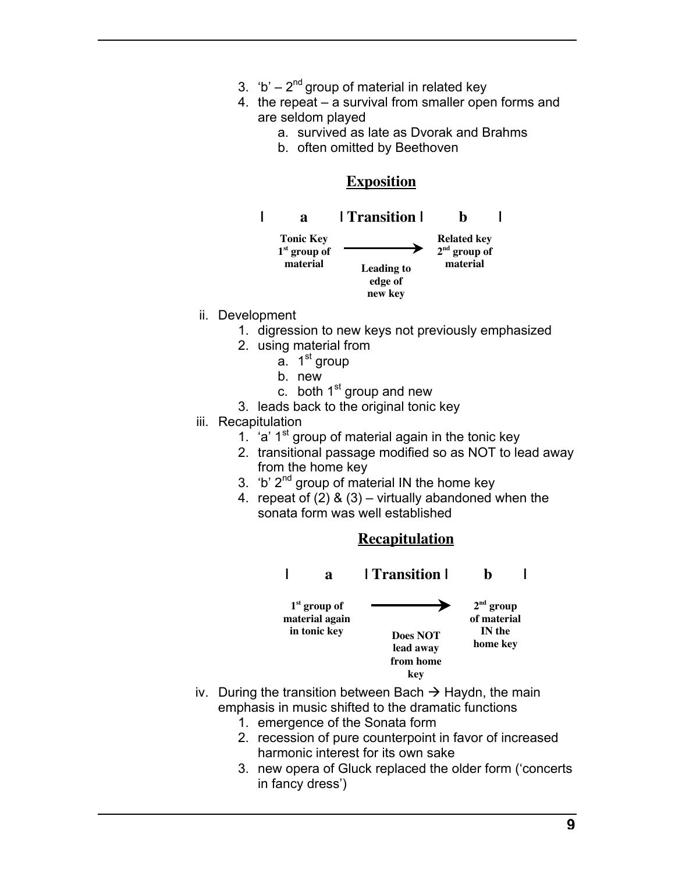- 3.  $b' 2^{nd}$  group of material in related key
- 4. the repeat a survival from smaller open forms and are seldom played
	- a. survived as late as Dvorak and Brahms
	- b. often omitted by Beethoven





- ii. Development
	- 1. digression to new keys not previously emphasized
	- 2. using material from
		- $a.$  1<sup>st</sup> group
		- b. new
		- c. both  $1<sup>st</sup>$  group and new
	- 3. leads back to the original tonic key
- iii. Recapitulation
	- 1. 'a'  $1^{st}$  group of material again in the tonic key
	- 2. transitional passage modified so as NOT to lead away from the home key
	- 3. 'b'  $2^{nd}$  group of material IN the home key
	- 4. repeat of  $(2)$  &  $(3)$  virtually abandoned when the sonata form was well established





- iv. During the transition between Bach  $\rightarrow$  Haydn, the main emphasis in music shifted to the dramatic functions
	- 1. emergence of the Sonata form
	- 2. recession of pure counterpoint in favor of increased harmonic interest for its own sake
	- 3. new opera of Gluck replaced the older form ('concerts in fancy dress')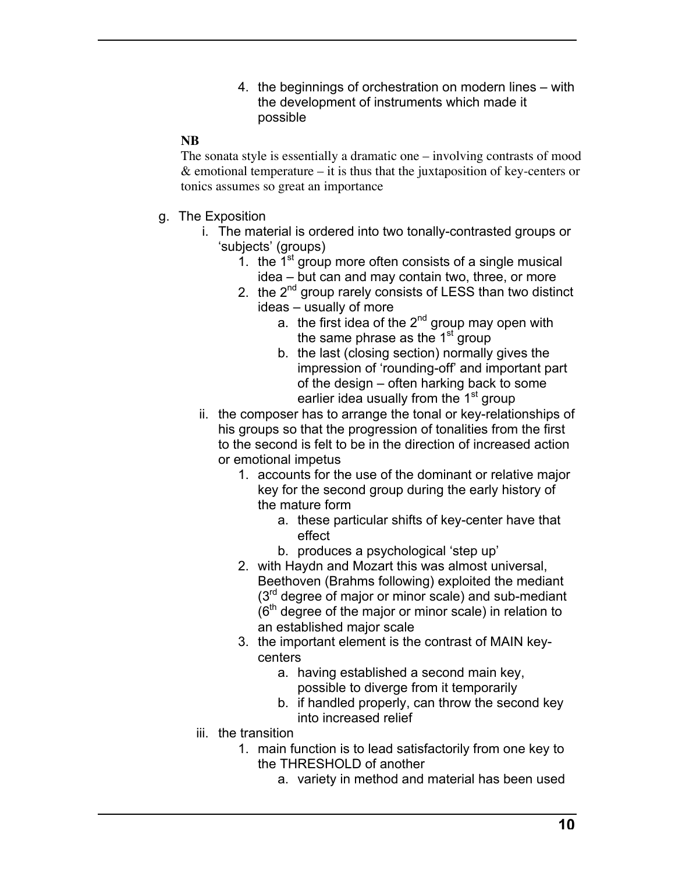4. the beginnings of orchestration on modern lines – with the development of instruments which made it possible

#### **NB**

The sonata style is essentially a dramatic one – involving contrasts of mood  $&$  emotional temperature – it is thus that the juxtaposition of key-centers or tonics assumes so great an importance

- g. The Exposition
	- i. The material is ordered into two tonally-contrasted groups or 'subjects' (groups)
		- 1. the  $1<sup>st</sup>$  group more often consists of a single musical idea – but can and may contain two, three, or more
		- 2. the  $2^{nd}$  group rarely consists of LESS than two distinct ideas – usually of more
			- a. the first idea of the  $2^{nd}$  group may open with the same phrase as the  $1<sup>st</sup>$  group
			- b. the last (closing section) normally gives the impression of 'rounding-off' and important part of the design – often harking back to some earlier idea usually from the  $1<sup>st</sup>$  group
	- ii. the composer has to arrange the tonal or key-relationships of his groups so that the progression of tonalities from the first to the second is felt to be in the direction of increased action or emotional impetus
		- 1. accounts for the use of the dominant or relative major key for the second group during the early history of the mature form
			- a. these particular shifts of key-center have that effect
			- b. produces a psychological 'step up'
		- 2. with Haydn and Mozart this was almost universal, Beethoven (Brahms following) exploited the mediant  $(3<sup>rd</sup>$  degree of major or minor scale) and sub-mediant  $(6<sup>th</sup>$  degree of the major or minor scale) in relation to an established major scale
		- 3. the important element is the contrast of MAIN keycenters
			- a. having established a second main key, possible to diverge from it temporarily
			- b. if handled properly, can throw the second key into increased relief
	- iii. the transition
		- 1. main function is to lead satisfactorily from one key to the THRESHOLD of another
			- a. variety in method and material has been used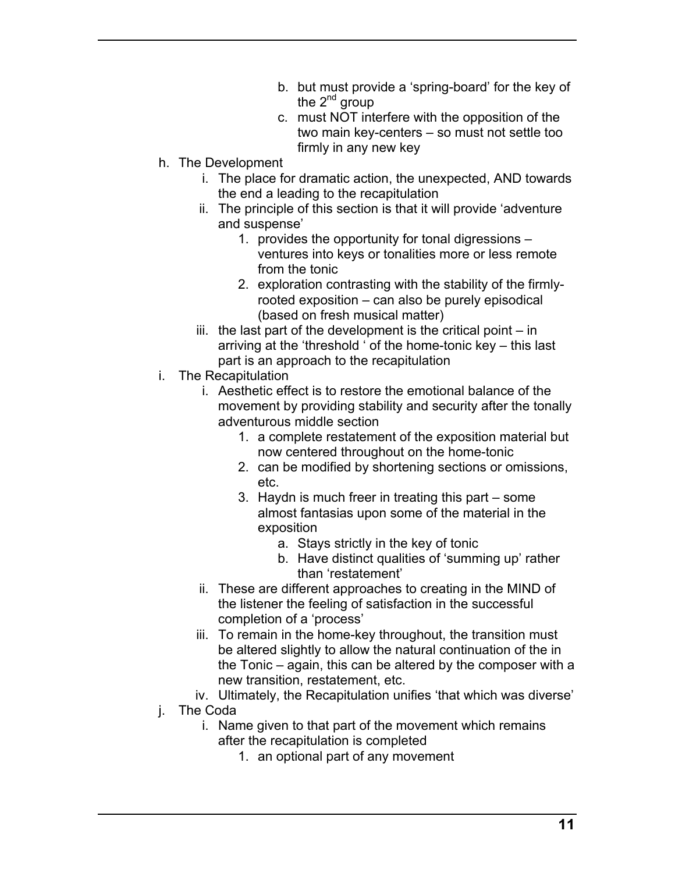- b. but must provide a 'spring-board' for the key of the  $2^{nd}$  group
- c. must NOT interfere with the opposition of the two main key-centers – so must not settle too firmly in any new key
- h. The Development
	- i. The place for dramatic action, the unexpected, AND towards the end a leading to the recapitulation
	- ii. The principle of this section is that it will provide 'adventure and suspense'
		- 1. provides the opportunity for tonal digressions ventures into keys or tonalities more or less remote from the tonic
		- 2. exploration contrasting with the stability of the firmlyrooted exposition – can also be purely episodical (based on fresh musical matter)
	- iii. the last part of the development is the critical point in arriving at the 'threshold ' of the home-tonic key – this last part is an approach to the recapitulation
- i. The Recapitulation
	- i. Aesthetic effect is to restore the emotional balance of the movement by providing stability and security after the tonally adventurous middle section
		- 1. a complete restatement of the exposition material but now centered throughout on the home-tonic
		- 2. can be modified by shortening sections or omissions, etc.
		- 3. Haydn is much freer in treating this part some almost fantasias upon some of the material in the exposition
			- a. Stays strictly in the key of tonic
			- b. Have distinct qualities of 'summing up' rather than 'restatement'
	- ii. These are different approaches to creating in the MIND of the listener the feeling of satisfaction in the successful completion of a 'process'
	- iii. To remain in the home-key throughout, the transition must be altered slightly to allow the natural continuation of the in the Tonic – again, this can be altered by the composer with a new transition, restatement, etc.
	- iv. Ultimately, the Recapitulation unifies 'that which was diverse'
- j. The Coda
	- i. Name given to that part of the movement which remains after the recapitulation is completed
		- 1. an optional part of any movement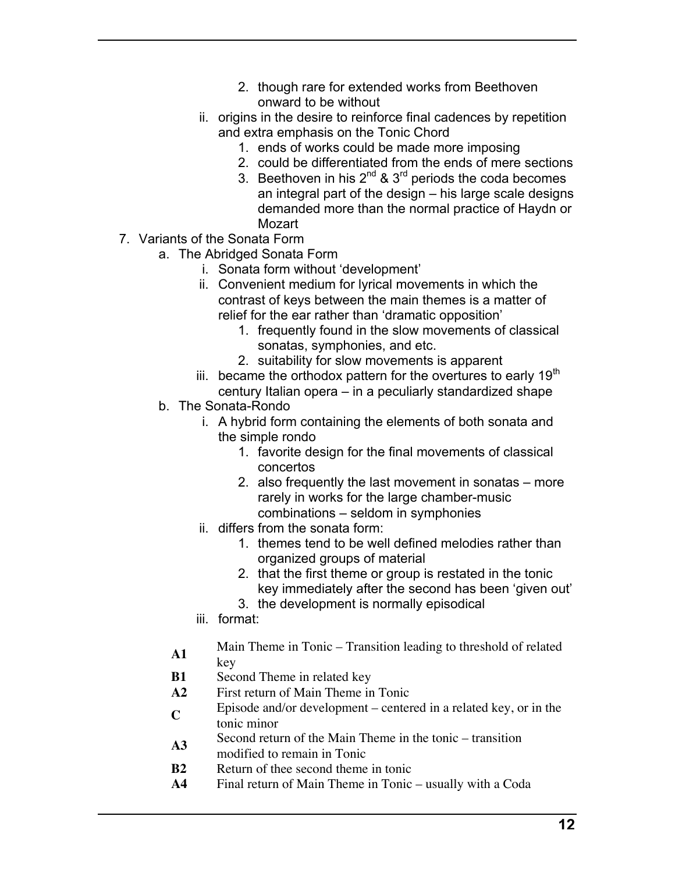- 2. though rare for extended works from Beethoven onward to be without
- ii. origins in the desire to reinforce final cadences by repetition and extra emphasis on the Tonic Chord
	- 1. ends of works could be made more imposing
	- 2. could be differentiated from the ends of mere sections
	- 3. Beethoven in his  $2^{nd}$  &  $3^{rd}$  periods the coda becomes an integral part of the design – his large scale designs demanded more than the normal practice of Haydn or Mozart
- 7. Variants of the Sonata Form
	- a. The Abridged Sonata Form
		- i. Sonata form without 'development'
		- ii. Convenient medium for lyrical movements in which the contrast of keys between the main themes is a matter of relief for the ear rather than 'dramatic opposition'
			- 1. frequently found in the slow movements of classical sonatas, symphonies, and etc.
			- 2. suitability for slow movements is apparent
		- iii. became the orthodox pattern for the overtures to early  $19<sup>th</sup>$ century Italian opera – in a peculiarly standardized shape
	- b. The Sonata-Rondo
		- i. A hybrid form containing the elements of both sonata and the simple rondo
			- 1. favorite design for the final movements of classical concertos
			- 2. also frequently the last movement in sonatas more rarely in works for the large chamber-music combinations – seldom in symphonies
		- ii. differs from the sonata form:
			- 1. themes tend to be well defined melodies rather than organized groups of material
			- 2. that the first theme or group is restated in the tonic key immediately after the second has been 'given out'
			- 3. the development is normally episodical
		- iii. format:
		- **A1** Main Theme in Tonic Transition leading to threshold of related
			- key
		- **B1** Second Theme in related key
		- **A2** First return of Main Theme in Tonic
		- Episode and/or development centered in a related key, or in the tonic minor
		- **A3** Second return of the Main Theme in the tonic transition
		- modified to remain in Tonic
		- **B2** Return of thee second theme in tonic
		- **A4** Final return of Main Theme in Tonic usually with a Coda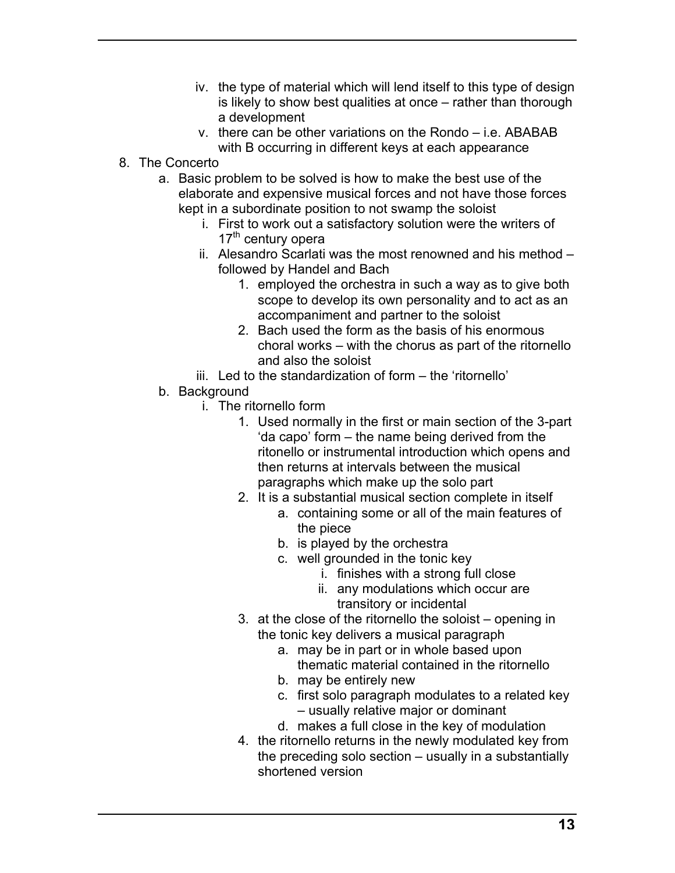- iv. the type of material which will lend itself to this type of design is likely to show best qualities at once – rather than thorough a development
- v. there can be other variations on the Rondo i.e. ABABAB with B occurring in different keys at each appearance
- 8. The Concerto
	- a. Basic problem to be solved is how to make the best use of the elaborate and expensive musical forces and not have those forces kept in a subordinate position to not swamp the soloist
		- i. First to work out a satisfactory solution were the writers of 17<sup>th</sup> century opera
		- ii. Alesandro Scarlati was the most renowned and his method followed by Handel and Bach
			- 1. employed the orchestra in such a way as to give both scope to develop its own personality and to act as an accompaniment and partner to the soloist
			- 2. Bach used the form as the basis of his enormous choral works – with the chorus as part of the ritornello and also the soloist
		- iii. Led to the standardization of form the 'ritornello'
	- b. Background
		- i. The ritornello form
			- 1. Used normally in the first or main section of the 3-part 'da capo' form – the name being derived from the ritonello or instrumental introduction which opens and then returns at intervals between the musical paragraphs which make up the solo part
			- 2. It is a substantial musical section complete in itself
				- a. containing some or all of the main features of the piece
				- b. is played by the orchestra
				- c. well grounded in the tonic key
					- i. finishes with a strong full close
					- ii. any modulations which occur are transitory or incidental
			- 3. at the close of the ritornello the soloist opening in the tonic key delivers a musical paragraph
				- a. may be in part or in whole based upon thematic material contained in the ritornello
				- b. may be entirely new
				- c. first solo paragraph modulates to a related key – usually relative major or dominant
				- d. makes a full close in the key of modulation
			- 4. the ritornello returns in the newly modulated key from the preceding solo section – usually in a substantially shortened version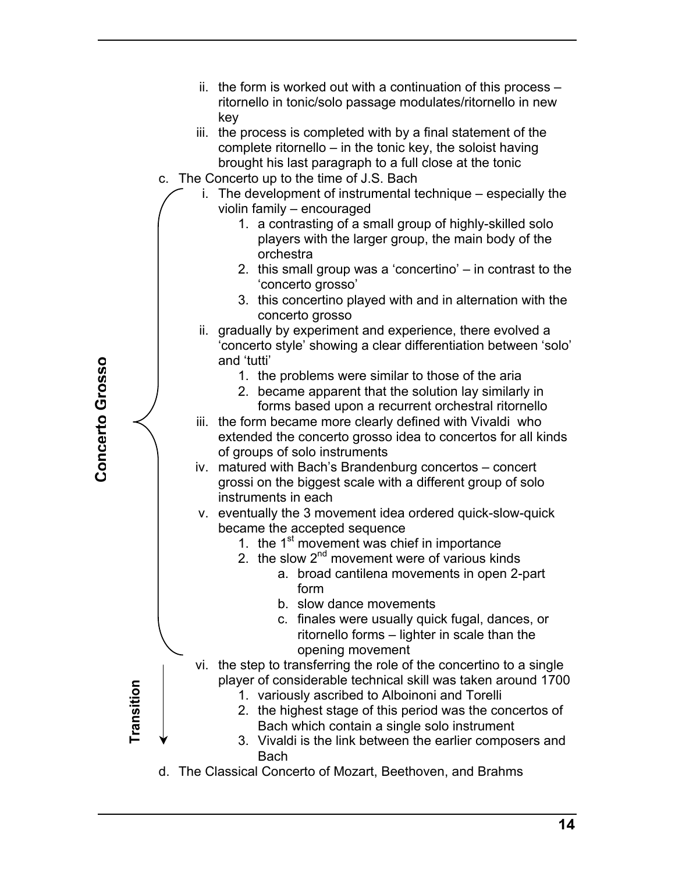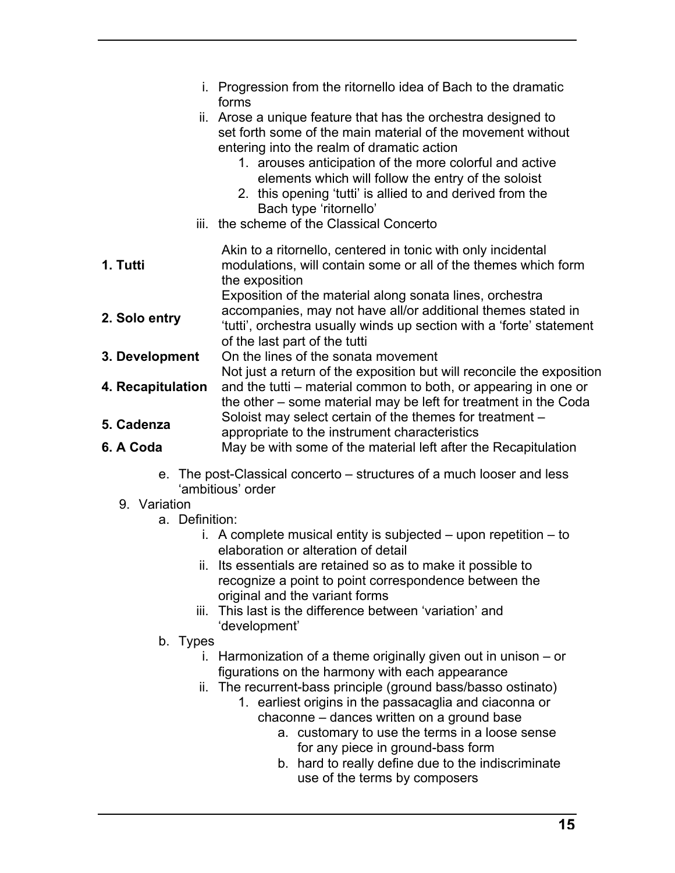|                   | i. Progression from the ritornello idea of Bach to the dramatic<br>forms                                                                                                                                                                                                                                                                                                                                                         |
|-------------------|----------------------------------------------------------------------------------------------------------------------------------------------------------------------------------------------------------------------------------------------------------------------------------------------------------------------------------------------------------------------------------------------------------------------------------|
|                   | ii. Arose a unique feature that has the orchestra designed to<br>set forth some of the main material of the movement without<br>entering into the realm of dramatic action<br>1. arouses anticipation of the more colorful and active<br>elements which will follow the entry of the soloist<br>2. this opening 'tutti' is allied to and derived from the<br>Bach type 'ritornello'<br>iii. the scheme of the Classical Concerto |
| 1. Tutti          | Akin to a ritornello, centered in tonic with only incidental<br>modulations, will contain some or all of the themes which form<br>the exposition                                                                                                                                                                                                                                                                                 |
| 2. Solo entry     | Exposition of the material along sonata lines, orchestra<br>accompanies, may not have all/or additional themes stated in<br>'tutti', orchestra usually winds up section with a 'forte' statement<br>of the last part of the tutti                                                                                                                                                                                                |
| 3. Development    | On the lines of the sonata movement                                                                                                                                                                                                                                                                                                                                                                                              |
| 4. Recapitulation | Not just a return of the exposition but will reconcile the exposition<br>and the tutti – material common to both, or appearing in one or<br>the other – some material may be left for treatment in the Coda                                                                                                                                                                                                                      |
| 5. Cadenza        | Soloist may select certain of the themes for treatment -<br>appropriate to the instrument characteristics                                                                                                                                                                                                                                                                                                                        |
| 6. A Coda         | May be with some of the material left after the Recapitulation                                                                                                                                                                                                                                                                                                                                                                   |
|                   | e. The post-Classical concerto – structures of a much looser and less<br>'ambitious' order                                                                                                                                                                                                                                                                                                                                       |

- 9. Variation
	- a. Definition:
		- i. A complete musical entity is subjected upon repetition to elaboration or alteration of detail
		- ii. Its essentials are retained so as to make it possible to recognize a point to point correspondence between the original and the variant forms
		- iii. This last is the difference between 'variation' and 'development'
	- b. Types
		- i. Harmonization of a theme originally given out in unison or figurations on the harmony with each appearance
		- ii. The recurrent-bass principle (ground bass/basso ostinato)
			- 1. earliest origins in the passacaglia and ciaconna or chaconne – dances written on a ground base
				- a. customary to use the terms in a loose sense for any piece in ground-bass form
				- b. hard to really define due to the indiscriminate use of the terms by composers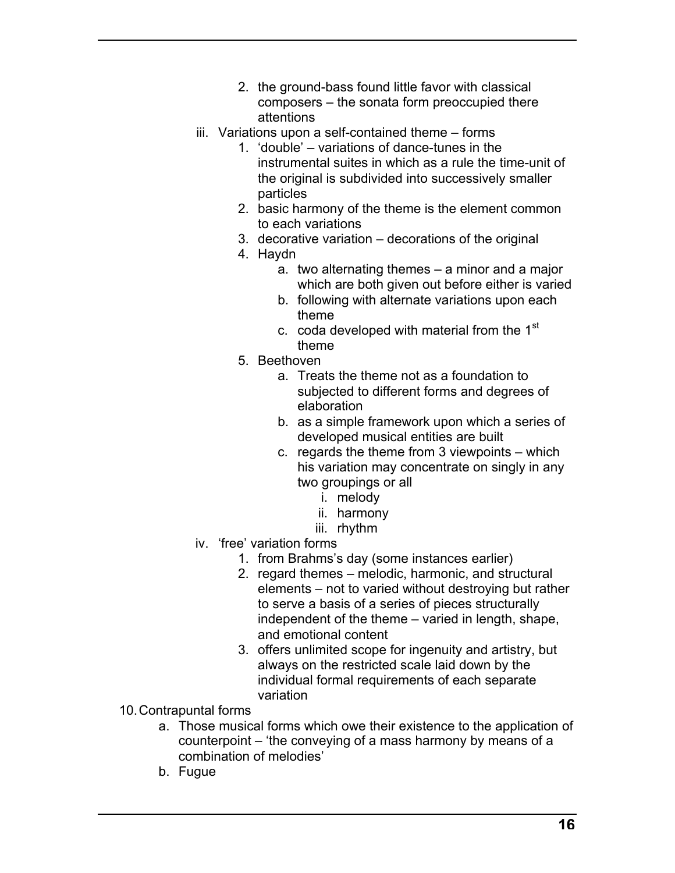- 2. the ground-bass found little favor with classical composers – the sonata form preoccupied there attentions
- iii. Variations upon a self-contained theme forms
	- 1. 'double' variations of dance-tunes in the instrumental suites in which as a rule the time-unit of the original is subdivided into successively smaller particles
	- 2. basic harmony of the theme is the element common to each variations
	- 3. decorative variation decorations of the original
	- 4. Haydn
		- a. two alternating themes a minor and a major which are both given out before either is varied
		- b. following with alternate variations upon each theme
		- c. coda developed with material from the 1<sup>st</sup> theme
	- 5. Beethoven
		- a. Treats the theme not as a foundation to subjected to different forms and degrees of elaboration
		- b. as a simple framework upon which a series of developed musical entities are built
		- c. regards the theme from 3 viewpoints which his variation may concentrate on singly in any two groupings or all
			- i. melody
			- ii. harmony
			- iii. rhythm
- iv. 'free' variation forms
	- 1. from Brahms's day (some instances earlier)
	- 2. regard themes melodic, harmonic, and structural elements – not to varied without destroying but rather to serve a basis of a series of pieces structurally independent of the theme – varied in length, shape, and emotional content
	- 3. offers unlimited scope for ingenuity and artistry, but always on the restricted scale laid down by the individual formal requirements of each separate variation
- 10. Contrapuntal forms
	- a. Those musical forms which owe their existence to the application of counterpoint – 'the conveying of a mass harmony by means of a combination of melodies'
	- b. Fugue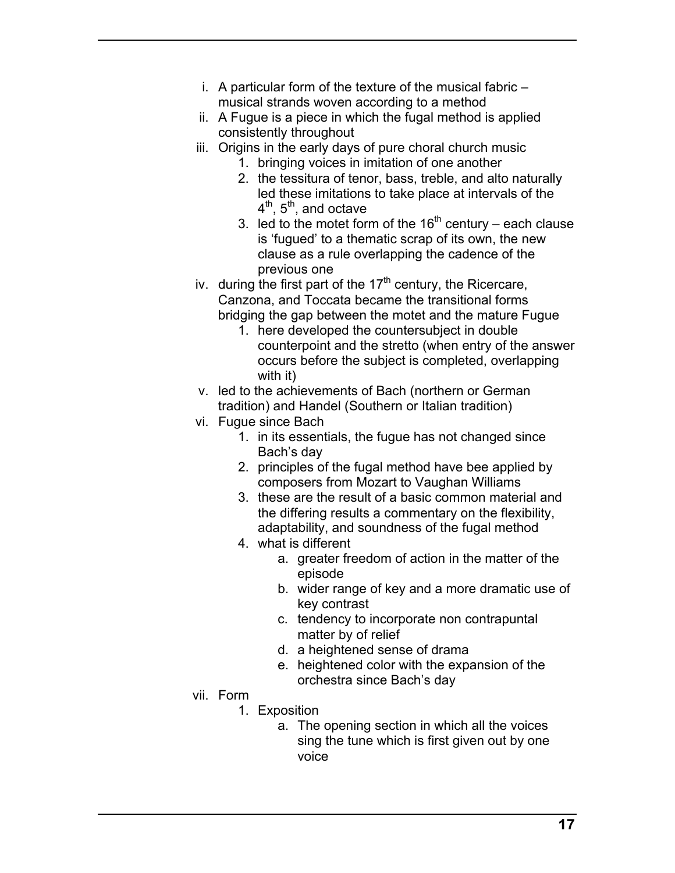- i. A particular form of the texture of the musical fabric musical strands woven according to a method
- ii. A Fugue is a piece in which the fugal method is applied consistently throughout
- iii. Origins in the early days of pure choral church music
	- 1. bringing voices in imitation of one another
	- 2. the tessitura of tenor, bass, treble, and alto naturally led these imitations to take place at intervals of the  $4^{\text{th}}$ ,  $5^{\text{th}}$ , and octave
	- 3. led to the motet form of the  $16<sup>th</sup>$  century each clause is 'fugued' to a thematic scrap of its own, the new clause as a rule overlapping the cadence of the previous one
- iv. during the first part of the  $17<sup>th</sup>$  century, the Ricercare, Canzona, and Toccata became the transitional forms bridging the gap between the motet and the mature Fugue
	- 1. here developed the countersubject in double counterpoint and the stretto (when entry of the answer occurs before the subject is completed, overlapping with it)
- v. led to the achievements of Bach (northern or German tradition) and Handel (Southern or Italian tradition)
- vi. Fugue since Bach
	- 1. in its essentials, the fugue has not changed since Bach's day
	- 2. principles of the fugal method have bee applied by composers from Mozart to Vaughan Williams
	- 3. these are the result of a basic common material and the differing results a commentary on the flexibility, adaptability, and soundness of the fugal method
	- 4. what is different
		- a. greater freedom of action in the matter of the episode
		- b. wider range of key and a more dramatic use of key contrast
		- c. tendency to incorporate non contrapuntal matter by of relief
		- d. a heightened sense of drama
		- e. heightened color with the expansion of the orchestra since Bach's day
- vii. Form
	- 1. Exposition
		- a. The opening section in which all the voices sing the tune which is first given out by one voice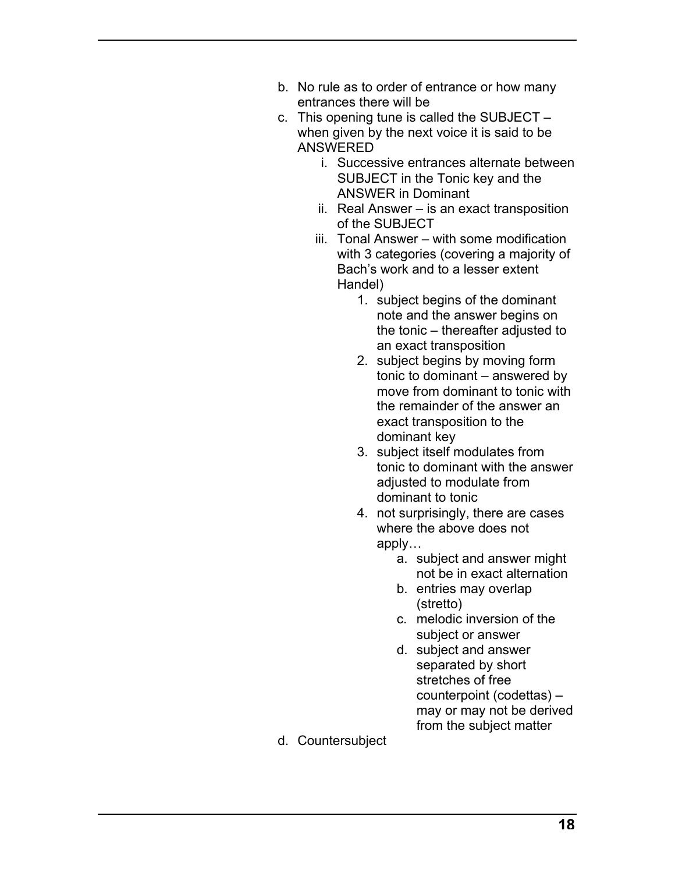- b. No rule as to order of entrance or how many entrances there will be
- c. This opening tune is called the SUBJECT when given by the next voice it is said to be ANSWERED
	- i. Successive entrances alternate between SUBJECT in the Tonic key and the ANSWER in Dominant
	- ii. Real Answer is an exact transposition of the SUBJECT
	- iii. Tonal Answer with some modification with 3 categories (covering a majority of Bach's work and to a lesser extent Handel)
		- 1. subject begins of the dominant note and the answer begins on the tonic – thereafter adjusted to an exact transposition
		- 2. subject begins by moving form tonic to dominant – answered by move from dominant to tonic with the remainder of the answer an exact transposition to the dominant key
		- 3. subject itself modulates from tonic to dominant with the answer adiusted to modulate from dominant to tonic
		- 4. not surprisingly, there are cases where the above does not apply…
			- a. subject and answer might not be in exact alternation
			- b. entries may overlap (stretto)
			- c. melodic inversion of the subject or answer
			- d. subject and answer separated by short stretches of free counterpoint (codettas) – may or may not be derived from the subject matter
- d. Countersubject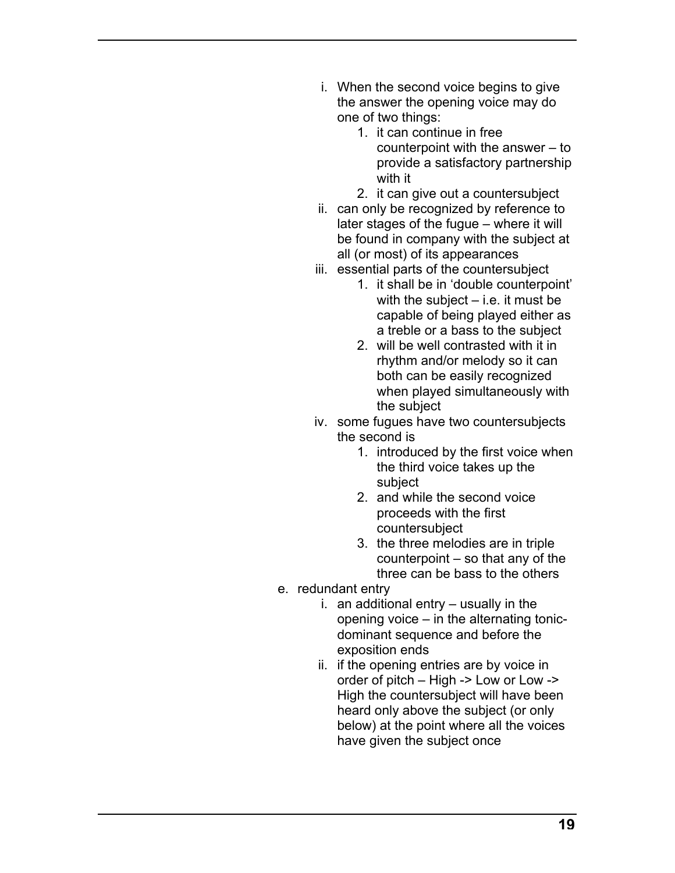- i. When the second voice begins to give the answer the opening voice may do one of two things:
	- 1. it can continue in free counterpoint with the answer – to provide a satisfactory partnership with it
	- 2. it can give out a countersubject
- ii. can only be recognized by reference to later stages of the fugue – where it will be found in company with the subject at all (or most) of its appearances
- iii. essential parts of the countersubject
	- 1. it shall be in 'double counterpoint' with the subject  $-$  i.e. it must be capable of being played either as a treble or a bass to the subject
	- 2. will be well contrasted with it in rhythm and/or melody so it can both can be easily recognized when played simultaneously with the subject
- iv. some fugues have two countersubjects the second is
	- 1. introduced by the first voice when the third voice takes up the subject
	- 2. and while the second voice proceeds with the first countersubject
	- 3. the three melodies are in triple counterpoint – so that any of the three can be bass to the others
- e. redundant entry
	- i. an additional entry usually in the opening voice – in the alternating tonicdominant sequence and before the exposition ends
	- ii. if the opening entries are by voice in order of pitch – High -> Low or Low -> High the countersubject will have been heard only above the subject (or only below) at the point where all the voices have given the subject once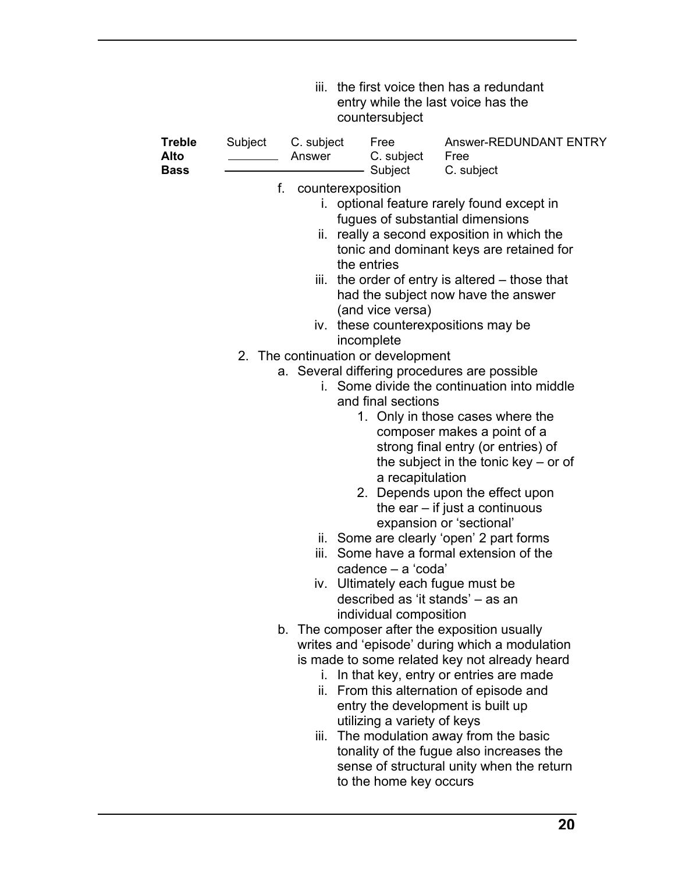|                                      |         | iii.                                                       | countersubject                                                                                                                                                                                                                         | the first voice then has a redundant<br>entry while the last voice has the                                                                                                                                                                                                                                                                                                                                                                                                                                                                                                                                                                                                                                                                                                                                                                                                                                                                                                                                                                                                                                                                                                                                                     |
|--------------------------------------|---------|------------------------------------------------------------|----------------------------------------------------------------------------------------------------------------------------------------------------------------------------------------------------------------------------------------|--------------------------------------------------------------------------------------------------------------------------------------------------------------------------------------------------------------------------------------------------------------------------------------------------------------------------------------------------------------------------------------------------------------------------------------------------------------------------------------------------------------------------------------------------------------------------------------------------------------------------------------------------------------------------------------------------------------------------------------------------------------------------------------------------------------------------------------------------------------------------------------------------------------------------------------------------------------------------------------------------------------------------------------------------------------------------------------------------------------------------------------------------------------------------------------------------------------------------------|
| <b>Treble</b><br>Alto<br><b>Bass</b> | Subject | C. subject<br>Answer                                       | Free<br>C. subject<br>Subject                                                                                                                                                                                                          | Answer-REDUNDANT ENTRY<br>Free<br>C. subject                                                                                                                                                                                                                                                                                                                                                                                                                                                                                                                                                                                                                                                                                                                                                                                                                                                                                                                                                                                                                                                                                                                                                                                   |
|                                      | f.      | counterexposition<br>İ.<br>ii.<br>II.<br>iii.<br>İ.<br>ii. | the entries<br>(and vice versa)<br>incomplete<br>2. The continuation or development<br>and final sections<br>a recapitulation<br>cadence – a 'coda'<br>individual composition<br>utilizing a variety of keys<br>to the home key occurs | optional feature rarely found except in<br>fugues of substantial dimensions<br>really a second exposition in which the<br>tonic and dominant keys are retained for<br>iii. the order of entry is altered – those that<br>had the subject now have the answer<br>iv. these counterexpositions may be<br>a. Several differing procedures are possible<br>i. Some divide the continuation into middle<br>1. Only in those cases where the<br>composer makes a point of a<br>strong final entry (or entries) of<br>the subject in the tonic key $-$ or of<br>2. Depends upon the effect upon<br>the ear $-$ if just a continuous<br>expansion or 'sectional'<br>Some are clearly 'open' 2 part forms<br>Some have a formal extension of the<br>iv. Ultimately each fugue must be<br>described as 'it stands' - as an<br>b. The composer after the exposition usually<br>writes and 'episode' during which a modulation<br>is made to some related key not already heard<br>In that key, entry or entries are made<br>From this alternation of episode and<br>entry the development is built up<br>iii. The modulation away from the basic<br>tonality of the fugue also increases the<br>sense of structural unity when the return |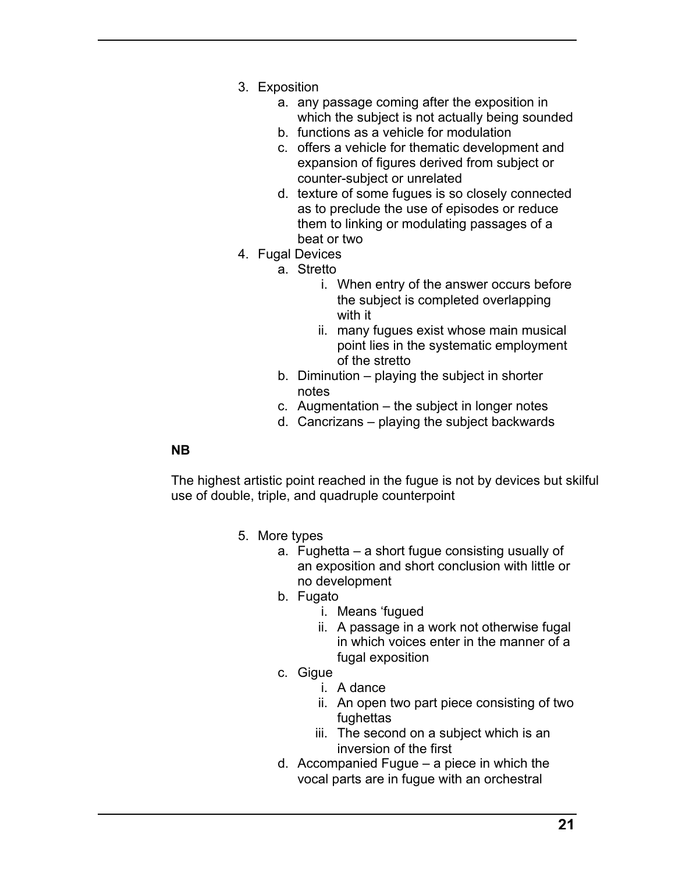- 3. Exposition
	- a. any passage coming after the exposition in which the subject is not actually being sounded
	- b. functions as a vehicle for modulation
	- c. offers a vehicle for thematic development and expansion of figures derived from subject or counter-subject or unrelated
	- d. texture of some fugues is so closely connected as to preclude the use of episodes or reduce them to linking or modulating passages of a beat or two
- 4. Fugal Devices
	- a. Stretto
		- i. When entry of the answer occurs before the subject is completed overlapping with it
		- ii. many fugues exist whose main musical point lies in the systematic employment of the stretto
		- b. Diminution playing the subject in shorter notes
		- c. Augmentation the subject in longer notes
		- d. Cancrizans playing the subject backwards

#### **NB**

The highest artistic point reached in the fugue is not by devices but skilful use of double, triple, and quadruple counterpoint

- 5. More types
	- a. Fughetta a short fugue consisting usually of an exposition and short conclusion with little or no development
	- b. Fugato
		- i. Means 'fugued
		- ii. A passage in a work not otherwise fugal in which voices enter in the manner of a fugal exposition
	- c. Gigue
		- i. A dance
		- ii. An open two part piece consisting of two fughettas
		- iii. The second on a subject which is an inversion of the first
	- d. Accompanied Fugue a piece in which the vocal parts are in fugue with an orchestral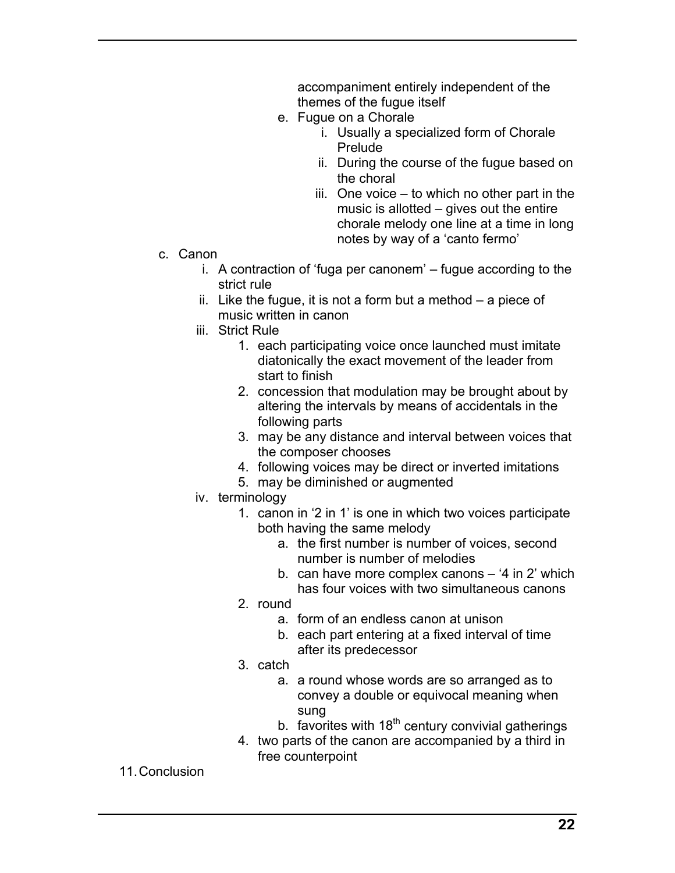accompaniment entirely independent of the themes of the fugue itself

- e. Fugue on a Chorale
	- i. Usually a specialized form of Chorale Prelude
	- ii. During the course of the fugue based on the choral
	- iii. One voice to which no other part in the music is allotted – gives out the entire chorale melody one line at a time in long notes by way of a 'canto fermo'
- c. Canon
	- i. A contraction of 'fuga per canonem' fugue according to the strict rule
	- ii. Like the fugue, it is not a form but a method a piece of music written in canon
	- iii. Strict Rule
		- 1. each participating voice once launched must imitate diatonically the exact movement of the leader from start to finish
		- 2. concession that modulation may be brought about by altering the intervals by means of accidentals in the following parts
		- 3. may be any distance and interval between voices that the composer chooses
		- 4. following voices may be direct or inverted imitations
		- 5. may be diminished or augmented
	- iv. terminology
		- 1. canon in '2 in 1' is one in which two voices participate both having the same melody
			- a. the first number is number of voices, second number is number of melodies
			- b. can have more complex canons '4 in 2' which has four voices with two simultaneous canons
		- 2. round
			- a. form of an endless canon at unison
			- b. each part entering at a fixed interval of time after its predecessor
		- 3. catch
			- a. a round whose words are so arranged as to convey a double or equivocal meaning when sung
			- b. favorites with  $18<sup>th</sup>$  century convivial gatherings
		- 4. two parts of the canon are accompanied by a third in free counterpoint
- 11. Conclusion